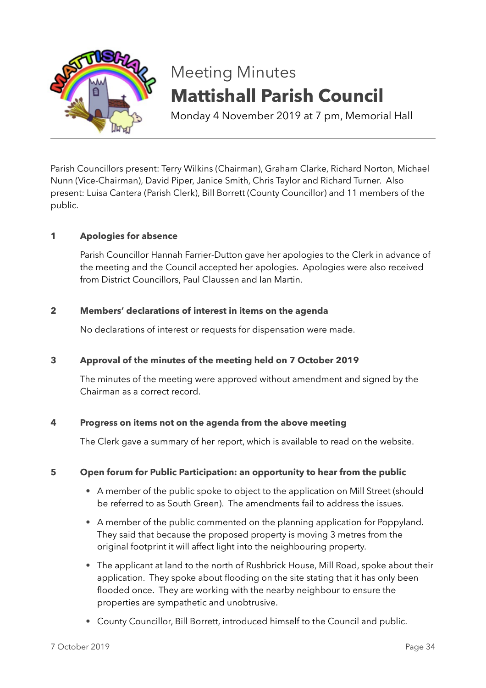

# Meeting Minutes **Mattishall Parish Council**

Monday 4 November 2019 at 7 pm, Memorial Hall

Parish Councillors present: Terry Wilkins (Chairman), Graham Clarke, Richard Norton, Michael Nunn (Vice-Chairman), David Piper, Janice Smith, Chris Taylor and Richard Turner. Also present: Luisa Cantera (Parish Clerk), Bill Borrett (County Councillor) and 11 members of the public.

# **1 Apologies for absence**

Parish Councillor Hannah Farrier-Dutton gave her apologies to the Clerk in advance of the meeting and the Council accepted her apologies. Apologies were also received from District Councillors, Paul Claussen and Ian Martin.

## **2 Members' declarations of interest in items on the agenda**

No declarations of interest or requests for dispensation were made.

## **3 Approval of the minutes of the meeting held on 7 October 2019**

The minutes of the meeting were approved without amendment and signed by the Chairman as a correct record.

## **4 Progress on items not on the agenda from the above meeting**

The Clerk gave a summary of her report, which is available to read on the website.

## **5 Open forum for Public Participation: an opportunity to hear from the public**

- A member of the public spoke to object to the application on Mill Street (should be referred to as South Green). The amendments fail to address the issues.
- A member of the public commented on the planning application for Poppyland. They said that because the proposed property is moving 3 metres from the original footprint it will affect light into the neighbouring property.
- The applicant at land to the north of Rushbrick House, Mill Road, spoke about their application. They spoke about flooding on the site stating that it has only been flooded once. They are working with the nearby neighbour to ensure the properties are sympathetic and unobtrusive.
- County Councillor, Bill Borrett, introduced himself to the Council and public.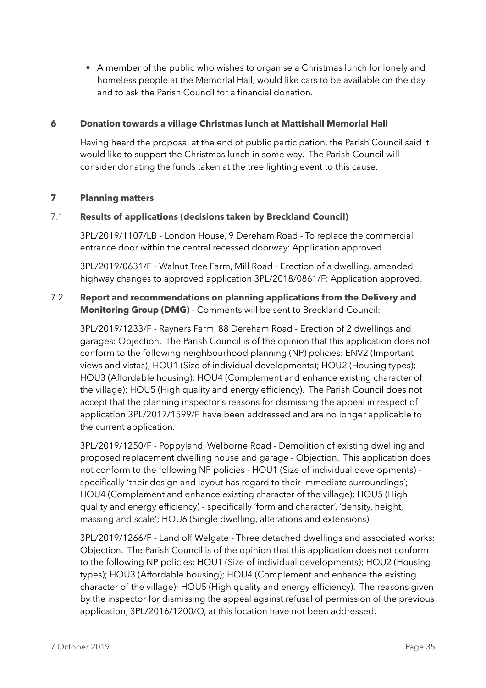• A member of the public who wishes to organise a Christmas lunch for lonely and homeless people at the Memorial Hall, would like cars to be available on the day and to ask the Parish Council for a financial donation.

# **6 Donation towards a village Christmas lunch at Mattishall Memorial Hall**

Having heard the proposal at the end of public participation, the Parish Council said it would like to support the Christmas lunch in some way. The Parish Council will consider donating the funds taken at the tree lighting event to this cause.

## **7 Planning matters**

# 7.1 **Results of applications (decisions taken by Breckland Council)**

3PL/2019/1107/LB - London House, 9 Dereham Road - To replace the commercial entrance door within the central recessed doorway: Application approved.

3PL/2019/0631/F - Walnut Tree Farm, Mill Road - Erection of a dwelling, amended highway changes to approved application 3PL/2018/0861/F: Application approved.

# 7.2 **Report and recommendations on planning applications from the Delivery and Monitoring Group (DMG)** - Comments will be sent to Breckland Council:

3PL/2019/1233/F - Rayners Farm, 88 Dereham Road - Erection of 2 dwellings and garages: Objection. The Parish Council is of the opinion that this application does not conform to the following neighbourhood planning (NP) policies: ENV2 (Important views and vistas); HOU1 (Size of individual developments); HOU2 (Housing types); HOU3 (Affordable housing); HOU4 (Complement and enhance existing character of the village); HOU5 (High quality and energy efficiency). The Parish Council does not accept that the planning inspector's reasons for dismissing the appeal in respect of application 3PL/2017/1599/F have been addressed and are no longer applicable to the current application.

3PL/2019/1250/F - Poppyland, Welborne Road - Demolition of existing dwelling and proposed replacement dwelling house and garage - Objection. This application does not conform to the following NP policies - HOU1 (Size of individual developments) – specifically 'their design and layout has regard to their immediate surroundings'; HOU4 (Complement and enhance existing character of the village); HOU5 (High quality and energy efficiency) - specifically 'form and character', 'density, height, massing and scale'; HOU6 (Single dwelling, alterations and extensions).

3PL/2019/1266/F - Land off Welgate - Three detached dwellings and associated works: Objection. The Parish Council is of the opinion that this application does not conform to the following NP policies: HOU1 (Size of individual developments); HOU2 (Housing types); HOU3 (Affordable housing); HOU4 (Complement and enhance the existing character of the village); HOU5 (High quality and energy efficiency). The reasons given by the inspector for dismissing the appeal against refusal of permission of the previous application, 3PL/2016/1200/O, at this location have not been addressed.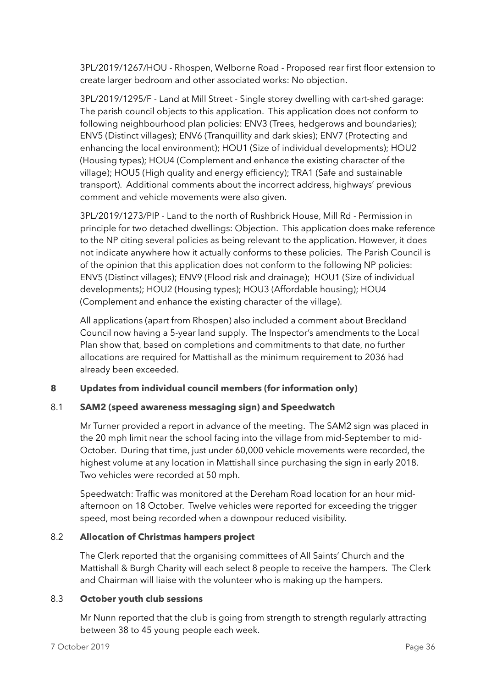3PL/2019/1267/HOU - Rhospen, Welborne Road - Proposed rear first floor extension to create larger bedroom and other associated works: No objection.

3PL/2019/1295/F - Land at Mill Street - Single storey dwelling with cart-shed garage: The parish council objects to this application. This application does not conform to following neighbourhood plan policies: ENV3 (Trees, hedgerows and boundaries); ENV5 (Distinct villages); ENV6 (Tranquillity and dark skies); ENV7 (Protecting and enhancing the local environment); HOU1 (Size of individual developments); HOU2 (Housing types); HOU4 (Complement and enhance the existing character of the village); HOU5 (High quality and energy efficiency); TRA1 (Safe and sustainable transport). Additional comments about the incorrect address, highways' previous comment and vehicle movements were also given.

3PL/2019/1273/PIP - Land to the north of Rushbrick House, Mill Rd - Permission in principle for two detached dwellings: Objection. This application does make reference to the NP citing several policies as being relevant to the application. However, it does not indicate anywhere how it actually conforms to these policies. The Parish Council is of the opinion that this application does not conform to the following NP policies: ENV5 (Distinct villages); ENV9 (Flood risk and drainage); HOU1 (Size of individual developments); HOU2 (Housing types); HOU3 (Affordable housing); HOU4 (Complement and enhance the existing character of the village).

All applications (apart from Rhospen) also included a comment about Breckland Council now having a 5-year land supply. The Inspector's amendments to the Local Plan show that, based on completions and commitments to that date, no further allocations are required for Mattishall as the minimum requirement to 2036 had already been exceeded.

# **8 Updates from individual council members (for information only)**

## 8.1 **SAM2 (speed awareness messaging sign) and Speedwatch**

Mr Turner provided a report in advance of the meeting. The SAM2 sign was placed in the 20 mph limit near the school facing into the village from mid-September to mid-October. During that time, just under 60,000 vehicle movements were recorded, the highest volume at any location in Mattishall since purchasing the sign in early 2018. Two vehicles were recorded at 50 mph.

Speedwatch: Traffic was monitored at the Dereham Road location for an hour midafternoon on 18 October. Twelve vehicles were reported for exceeding the trigger speed, most being recorded when a downpour reduced visibility.

## 8.2 **Allocation of Christmas hampers project**

The Clerk reported that the organising committees of All Saints' Church and the Mattishall & Burgh Charity will each select 8 people to receive the hampers. The Clerk and Chairman will liaise with the volunteer who is making up the hampers.

## 8.3 **October youth club sessions**

Mr Nunn reported that the club is going from strength to strength regularly attracting between 38 to 45 young people each week.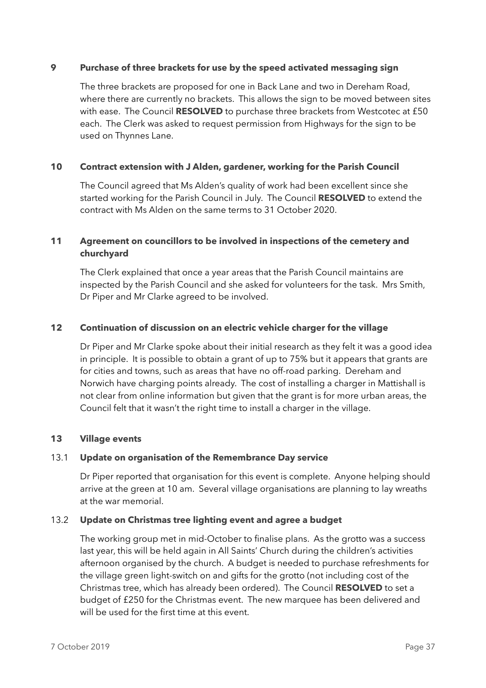#### **9 Purchase of three brackets for use by the speed activated messaging sign**

The three brackets are proposed for one in Back Lane and two in Dereham Road, where there are currently no brackets. This allows the sign to be moved between sites with ease. The Council **RESOLVED** to purchase three brackets from Westcotec at £50 each. The Clerk was asked to request permission from Highways for the sign to be used on Thynnes Lane.

## **10 Contract extension with J Alden, gardener, working for the Parish Council**

The Council agreed that Ms Alden's quality of work had been excellent since she started working for the Parish Council in July. The Council **RESOLVED** to extend the contract with Ms Alden on the same terms to 31 October 2020.

# **11 Agreement on councillors to be involved in inspections of the cemetery and churchyard**

The Clerk explained that once a year areas that the Parish Council maintains are inspected by the Parish Council and she asked for volunteers for the task. Mrs Smith, Dr Piper and Mr Clarke agreed to be involved.

## **12 Continuation of discussion on an electric vehicle charger for the village**

Dr Piper and Mr Clarke spoke about their initial research as they felt it was a good idea in principle. It is possible to obtain a grant of up to 75% but it appears that grants are for cities and towns, such as areas that have no off-road parking. Dereham and Norwich have charging points already. The cost of installing a charger in Mattishall is not clear from online information but given that the grant is for more urban areas, the Council felt that it wasn't the right time to install a charger in the village.

## **13 Village events**

## 13.1 **Update on organisation of the Remembrance Day service**

Dr Piper reported that organisation for this event is complete. Anyone helping should arrive at the green at 10 am. Several village organisations are planning to lay wreaths at the war memorial.

## 13.2 **Update on Christmas tree lighting event and agree a budget**

The working group met in mid-October to finalise plans. As the grotto was a success last year, this will be held again in All Saints' Church during the children's activities afternoon organised by the church. A budget is needed to purchase refreshments for the village green light-switch on and gifts for the grotto (not including cost of the Christmas tree, which has already been ordered). The Council **RESOLVED** to set a budget of £250 for the Christmas event. The new marquee has been delivered and will be used for the first time at this event.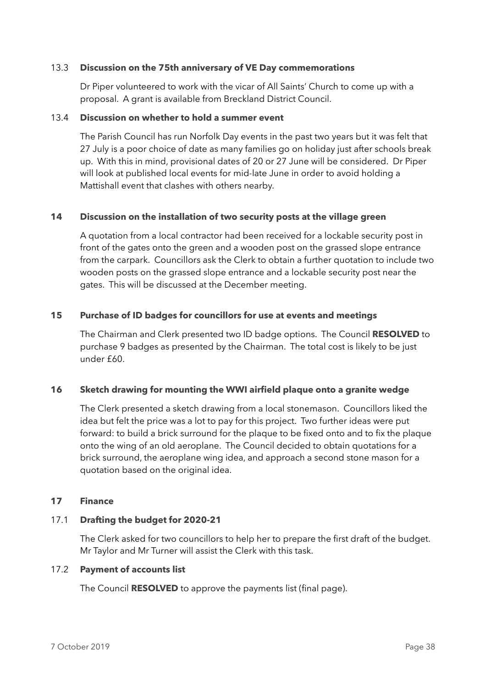# 13.3 **Discussion on the 75th anniversary of VE Day commemorations**

Dr Piper volunteered to work with the vicar of All Saints' Church to come up with a proposal. A grant is available from Breckland District Council.

#### 13.4 **Discussion on whether to hold a summer event**

The Parish Council has run Norfolk Day events in the past two years but it was felt that 27 July is a poor choice of date as many families go on holiday just after schools break up. With this in mind, provisional dates of 20 or 27 June will be considered. Dr Piper will look at published local events for mid-late June in order to avoid holding a Mattishall event that clashes with others nearby.

## **14 Discussion on the installation of two security posts at the village green**

A quotation from a local contractor had been received for a lockable security post in front of the gates onto the green and a wooden post on the grassed slope entrance from the carpark. Councillors ask the Clerk to obtain a further quotation to include two wooden posts on the grassed slope entrance and a lockable security post near the gates. This will be discussed at the December meeting.

## **15 Purchase of ID badges for councillors for use at events and meetings**

The Chairman and Clerk presented two ID badge options. The Council **RESOLVED** to purchase 9 badges as presented by the Chairman. The total cost is likely to be just under £60.

#### **16 Sketch drawing for mounting the WWI airfield plaque onto a granite wedge**

The Clerk presented a sketch drawing from a local stonemason. Councillors liked the idea but felt the price was a lot to pay for this project. Two further ideas were put forward: to build a brick surround for the plaque to be fixed onto and to fix the plaque onto the wing of an old aeroplane. The Council decided to obtain quotations for a brick surround, the aeroplane wing idea, and approach a second stone mason for a quotation based on the original idea.

#### **17 Finance**

## 17.1 **Drafting the budget for 2020-21**

The Clerk asked for two councillors to help her to prepare the first draft of the budget. Mr Taylor and Mr Turner will assist the Clerk with this task.

#### 17.2 **Payment of accounts list**

The Council **RESOLVED** to approve the payments list (final page).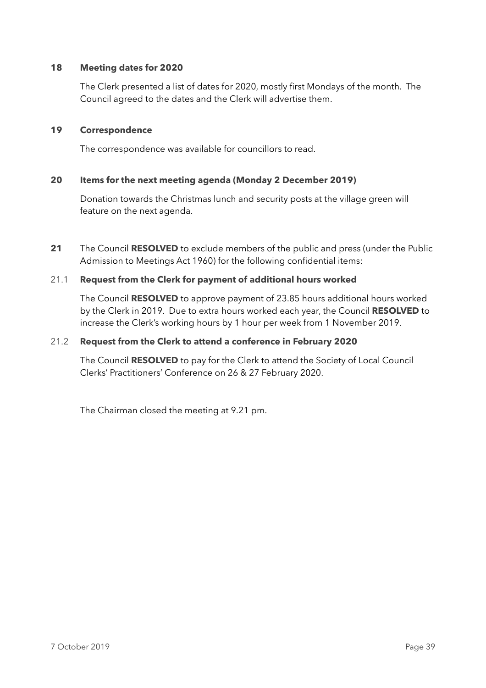#### **18 Meeting dates for 2020**

The Clerk presented a list of dates for 2020, mostly first Mondays of the month. The Council agreed to the dates and the Clerk will advertise them.

#### **19 Correspondence**

The correspondence was available for councillors to read.

#### **20 Items for the next meeting agenda (Monday 2 December 2019)**

Donation towards the Christmas lunch and security posts at the village green will feature on the next agenda.

**21** The Council **RESOLVED** to exclude members of the public and press (under the Public Admission to Meetings Act 1960) for the following confidential items:

#### 21.1 **Request from the Clerk for payment of additional hours worked**

The Council **RESOLVED** to approve payment of 23.85 hours additional hours worked by the Clerk in 2019. Due to extra hours worked each year, the Council **RESOLVED** to increase the Clerk's working hours by 1 hour per week from 1 November 2019.

#### 21.2 **Request from the Clerk to attend a conference in February 2020**

The Council **RESOLVED** to pay for the Clerk to attend the Society of Local Council Clerks' Practitioners' Conference on 26 & 27 February 2020.

The Chairman closed the meeting at 9.21 pm.